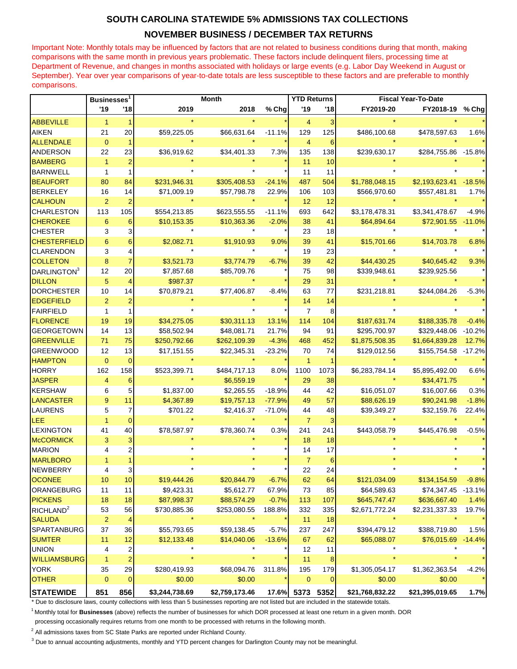## **SOUTH CAROLINA STATEWIDE 5% ADMISSIONS TAX COLLECTIONS**

## **NOVEMBER BUSINESS / DECEMBER TAX RETURNS**

Important Note: Monthly totals may be influenced by factors that are not related to business conditions during that month, making comparisons with the same month in previous years problematic. These factors include delinquent filers, processing time at Department of Revenue, and changes in months associated with holidays or large events (e.g. Labor Day Weekend in August or September). Year over year comparisons of year-to-date totals are less susceptible to these factors and are preferable to monthly comparisons.

|                         | <b>Businesses</b> |                         | <b>Month</b>   |                |          | <b>YTD Returns</b> |             | <b>Fiscal Year-To-Date</b> |                     |          |
|-------------------------|-------------------|-------------------------|----------------|----------------|----------|--------------------|-------------|----------------------------|---------------------|----------|
|                         | '19               | '18                     | 2019           | 2018           | % Chg    | '19                | '18         | FY2019-20                  | FY2018-19           | % Chg    |
| <b>ABBEVILLE</b>        | $\mathbf{1}$      |                         |                |                |          | 4                  | 3           |                            |                     |          |
| <b>AIKEN</b>            | 21                | 20                      | \$59,225.05    | \$66,631.64    | $-11.1%$ | 129                | 125         | \$486,100.68               | \$478,597.63        | 1.6%     |
| <b>ALLENDALE</b>        | $\mathbf{0}$      | 1                       |                |                |          | $\overline{4}$     | 6           |                            |                     |          |
| ANDERSON                | 22                | 23                      | \$36,919.62    | \$34,401.33    | 7.3%     | 135                | 138         | \$239,630.17               | \$284,755.86 -15.8% |          |
| <b>BAMBERG</b>          | $\overline{1}$    | $\overline{2}$          |                |                |          | 11                 | 10          |                            |                     |          |
| <b>BARNWELL</b>         | $\mathbf{1}$      | $\mathbf{1}$            |                |                |          | 11                 | 11          |                            |                     |          |
| <b>BEAUFORT</b>         | 80                | 84                      | \$231,946.31   | \$305,408.53   | $-24.1%$ | 487                | 504         | \$1,788,048.15             | \$2,193,623.41      | $-18.5%$ |
| <b>BERKELEY</b>         | 16                | 14                      | \$71,009.19    | \$57,798.78    | 22.9%    | 106                | 103         | \$566,970.60               | \$557,481.81        | 1.7%     |
| <b>CALHOUN</b>          | $\overline{2}$    | $\overline{2}$          |                |                |          | 12                 | 12          |                            |                     |          |
| CHARLESTON              | 113               | 105                     | \$554,213.85   | \$623,555.55   | $-11.1%$ | 693                | 642         | \$3,178,478.31             | \$3,341,478.67      | $-4.9%$  |
| <b>CHEROKEE</b>         | 6                 | 6                       | \$10,153.35    | \$10,363.36    | $-2.0%$  | 38                 | 41          | \$64,894.64                | \$72,901.55         | $-11.0%$ |
| <b>CHESTER</b>          | 3                 | 3                       |                |                |          | 23                 | 18          |                            |                     |          |
| <b>CHESTERFIELD</b>     | 6                 | $6\phantom{1}$          | \$2,082.71     | \$1,910.93     | 9.0%     | 39                 | 41          | \$15,701.66                | \$14,703.78         | 6.8%     |
| <b>CLARENDON</b>        | 3                 | 4                       |                |                |          | 19                 | 23          |                            |                     |          |
| <b>COLLETON</b>         | 8                 | $\overline{7}$          | \$3,521.73     | \$3,774.79     | $-6.7%$  | 39                 | 42          | \$44,430.25                | \$40,645.42         | 9.3%     |
| DARLINGTON <sup>3</sup> | 12                | 20                      | \$7,857.68     | \$85,709.76    |          | 75                 | 98          | \$339,948.61               | \$239,925.56        |          |
| <b>DILLON</b>           | 5                 | 4                       | \$987.37       |                |          | 29                 | 31          |                            |                     |          |
| <b>DORCHESTER</b>       | 10                | 14                      | \$70,879.21    | \$77,406.87    | $-8.4%$  | 63                 | 77          | \$231,218.81               | \$244,084.26        | $-5.3%$  |
| <b>EDGEFIELD</b>        | $\overline{2}$    | $\overline{c}$          |                |                |          | 14                 | 14          |                            |                     |          |
| <b>FAIRFIELD</b>        | 1                 | 1                       |                |                |          | $\overline{7}$     | 8           |                            |                     |          |
| <b>FLORENCE</b>         | 19                | 19                      | \$34,275.05    | \$30,311.13    | 13.1%    | 114                | 104         | \$187,631.74               | \$188,335.78        | $-0.4%$  |
| <b>GEORGETOWN</b>       | 14                | 13                      | \$58,502.94    | \$48,081.71    | 21.7%    | 94                 | 91          | \$295,700.97               | \$329,448.06        | $-10.2%$ |
| <b>GREENVILLE</b>       | 71                | 75                      | \$250,792.66   | \$262,109.39   | $-4.3%$  | 468                | 452         | \$1,875,508.35             | \$1,664,839.28      | 12.7%    |
| <b>GREENWOOD</b>        | 12                | 13                      | \$17,151.55    | \$22,345.31    | $-23.2%$ | 70                 | 74          | \$129,012.56               | \$155,754.58        | $-17.2%$ |
| <b>HAMPTON</b>          | $\mathbf{0}$      | $\mathbf 0$             |                |                |          | $\mathbf{1}$       |             |                            |                     |          |
| <b>HORRY</b>            | 162               | 158                     | \$523,399.71   | \$484,717.13   | 8.0%     | 1100               | 1073        | \$6,283,784.14             | \$5,895,492.00      | 6.6%     |
| <b>JASPER</b>           | 4                 | 6                       |                | \$6,559.19     |          | 29                 | 38          |                            | \$34,471.75         |          |
| <b>KERSHAW</b>          | 6                 | 5                       | \$1,837.00     | \$2,265.55     | $-18.9%$ | 44                 | 42          | \$16,051.07                | \$16,007.66         | 0.3%     |
| <b>LANCASTER</b>        | 9                 | 11                      | \$4,367.89     | \$19,757.13    | $-77.9%$ | 49                 | 57          | \$88,626.19                | \$90,241.98         | $-1.8%$  |
| LAURENS                 | 5                 | 7                       | \$701.22       | \$2,416.37     | $-71.0%$ | 44                 | 48          | \$39,349.27                | \$32,159.76         | 22.4%    |
| <b>LEE</b>              | $\mathbf{1}$      | 0                       |                |                |          | $\overline{7}$     | 3           |                            |                     |          |
| <b>LEXINGTON</b>        | 41                | 40                      | \$78,587.97    | \$78,360.74    | 0.3%     | 241                | 241         | \$443,058.79               | \$445,476.98        | $-0.5%$  |
| <b>McCORMICK</b>        | 3                 | 3                       |                |                |          | 18                 | 18          |                            |                     |          |
| <b>MARION</b>           | 4                 | 2                       |                |                |          | 14                 | 17          |                            |                     |          |
| <b>MARLBORO</b>         |                   |                         |                |                |          | $\overline{7}$     | 6           |                            |                     |          |
| <b>NEWBERRY</b>         | 4                 | 3                       |                |                |          | 22                 | 24          |                            |                     |          |
| <b>OCONEE</b>           | 10                | $10$                    | \$19,444.26    | \$20,844.79    | $-6.7%$  | 62                 | 64          | \$121,034.09               | \$134,154.59        | $-9.8%$  |
| ORANGEBURG              | 11                | 11                      | \$9,423.31     | \$5,612.77     | 67.9%    | 73                 | 85          | \$64,589.63                | \$74,347.45         | $-13.1%$ |
| <b>PICKENS</b>          | 18                | 18                      | \$87,998.37    | \$88,574.29    | $-0.7%$  | 113                | 107         | \$645,747.47               | \$636,667.40        | 1.4%     |
| RICHLAND <sup>2</sup>   | 53                | 56                      | \$730,885.36   | \$253,080.55   | 188.8%   | 332                | 335         | \$2,671,772.24             | \$2,231,337.33      | 19.7%    |
| <b>SALUDA</b>           | $\overline{c}$    | 4                       |                | $\star$        |          | 11                 | 18          | $\star$                    |                     |          |
| <b>SPARTANBURG</b>      | 37                | 36                      | \$55,793.65    | \$59,138.45    | $-5.7%$  | 237                | 247         | \$394,479.12               | \$388,719.80        | 1.5%     |
| <b>SUMTER</b>           | 11                | 12                      | \$12,133.48    | \$14,040.06    | $-13.6%$ | 67                 | 62          | \$65,088.07                | \$76,015.69         | $-14.4%$ |
| <b>UNION</b>            | 4                 | 2                       |                |                |          | 12                 | 11          | $\star$                    |                     |          |
| <b>WILLIAMSBURG</b>     | $\overline{1}$    | $\overline{\mathbf{c}}$ |                |                |          | 11                 | 8           |                            |                     |          |
| <b>YORK</b>             | 35                | 29                      | \$280,419.93   | \$68,094.76    | 311.8%   | 195                | 179         | \$1,305,054.17             | \$1,362,363.54      | $-4.2%$  |
| <b>OTHER</b>            | $\mathbf 0$       | $\mathbf 0$             | \$0.00         | \$0.00         |          | $\mathbf{0}$       | $\mathbf 0$ | \$0.00                     | \$0.00              |          |
| <b>STATEWIDE</b>        | 851               | 856                     | \$3,244,738.69 | \$2,759,173.46 |          | 17.6% 5373         | 5352        | \$21,768,832.22            | \$21,395,019.65     | 1.7%     |

\* Due to disclosure laws, county collections with less than 5 businesses reporting are not listed but are included in the statewide totals.

<sup>1</sup>Monthly total for **Businesses** (above) reflects the number of businesses for which DOR processed at least one return in a given month. DOR

processing occasionally requires returns from one month to be processed with returns in the following month.

 $2$  All admissions taxes from SC State Parks are reported under Richland County.

<sup>3</sup> Due to annual accounting adjustments, monthly and YTD percent changes for Darlington County may not be meaningful.